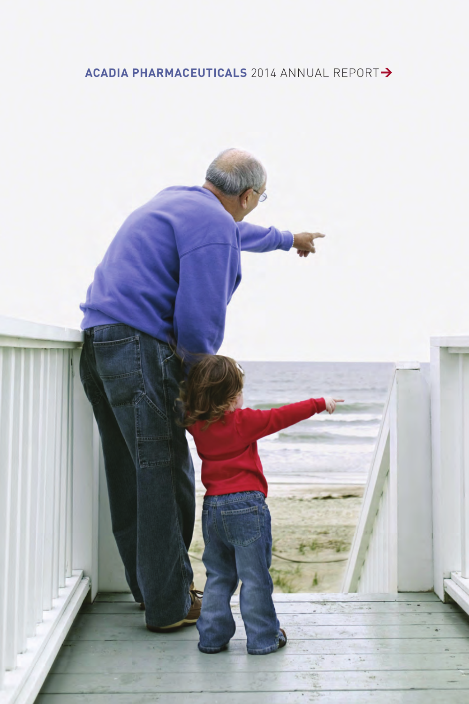### **ACADIA PHARMACEUTICALS** 2014 ANNUAL REPORT $\rightarrow$

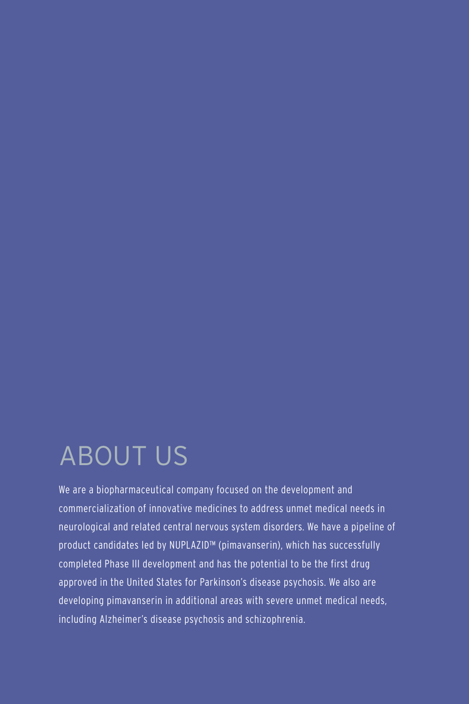## ABOUT US

We are a biopharmaceutical company focused on the development and commercialization of innovative medicines to address unmet medical needs in neurological and related central nervous system disorders. We have a pipeline of product candidates led by NUPLAZID™ (pimavanserin), which has successfully completed Phase III development and has the potential to be the first drug approved in the United States for Parkinson's disease psychosis. We also are developing pimavanserin in additional areas with severe unmet medical needs, including Alzheimer's disease psychosis and schizophrenia.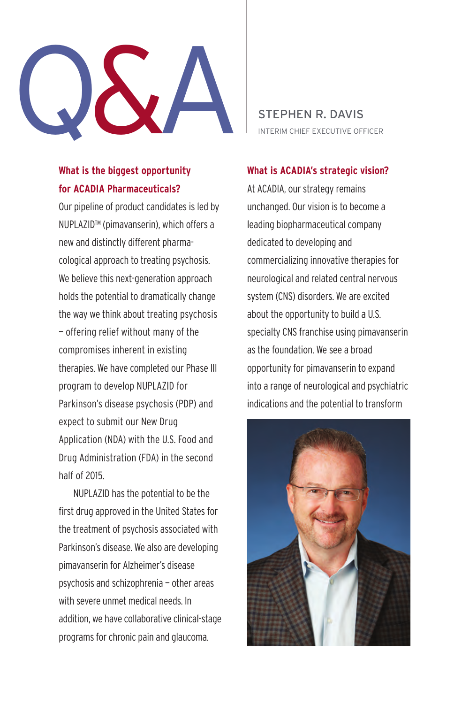

#### **What is the biggest opportunity for ACADIA Pharmaceuticals?**

Our pipeline of product candidates is led by NUPLAZID™ (pimavanserin), which offers a new and distinctly different pharmacological approach to treating psychosis. We believe this next-generation approach holds the potential to dramatically change the way we think about treating psychosis — offering relief without many of the compromises inherent in existing therapies. We have completed our Phase III program to develop NUPLAZID for Parkinson's disease psychosis (PDP) and expect to submit our New Drug Application (NDA) with the U.S. Food and Drug Administration (FDA) in the second half of 2015.

NUPLAZID has the potential to be the first drug approved in the United States for the treatment of psychosis associated with Parkinson's disease. We also are developing pimavanserin for Alzheimer's disease psychosis and schizophrenia — other areas with severe unmet medical needs. In addition, we have collaborative clinical-stage programs for chronic pain and glaucoma.

INTERIM CHIEF EXECUTIVE OFFICER

#### **What is ACADIA's strategic vision?**

At ACADIA, our strategy remains unchanged. Our vision is to become a leading biopharmaceutical company dedicated to developing and commercializing innovative therapies for neurological and related central nervous system (CNS) disorders. We are excited about the opportunity to build a U.S. specialty CNS franchise using pimavanserin as the foundation. We see a broad opportunity for pimavanserin to expand into a range of neurological and psychiatric indications and the potential to transform

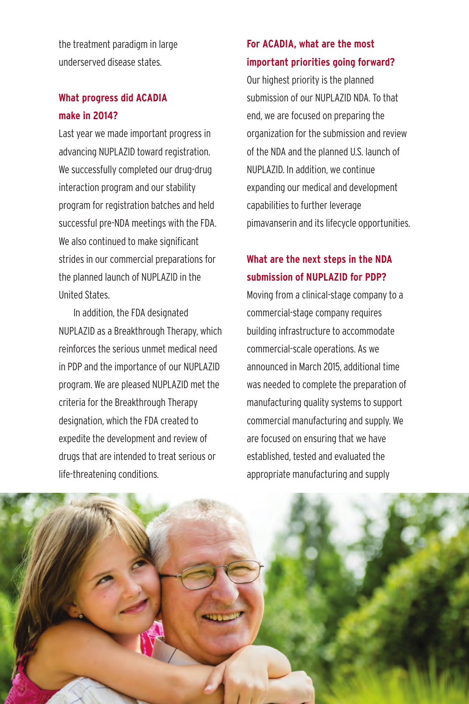the treatment paradigm in large underserved disease states.

#### **What progress did ACADIA make in 2014?**

Last year we made important progress in advancing NUPLAZID toward registration. We successfully completed our drug-drug interaction program and our stability program for registration batches and held successful pre-NDA meetings with the FDA. We also continued to make significant strides in our commercial preparations for the planned launch of NUPLAZID in the United States.

In addition, the FDA designated NUPLAZID as a Breakthrough Therapy, which reinforces the serious unmet medical need in PDP and the importance of our NUPLAZID program. We are pleased NUPLAZID met the criteria for the Breakthrough Therapy designation, which the FDA created to expedite the development and review of drugs that are intended to treat serious or life-threatening conditions.

#### **For ACADIA, what are the most important priorities going forward?**

Our highest priority is the planned submission of our NUPLAZID NDA. To that end, we are focused on preparing the organization for the submission and review of the NDA and the planned U.S. launch of NUPLAZID. In addition, we continue expanding our medical and development capabilities to further leverage pimavanserin and its lifecycle opportunities.

#### **What are the next steps in the NDA submission of NUPLAZID for PDP?**

Moving from a clinical-stage company to a commercial-stage company requires building infrastructure to accommodate commercial-scale operations. As we announced in March 2015, additional time was needed to complete the preparation of manufacturing quality systems to support commercial manufacturing and supply. We are focused on ensuring that we have established, tested and evaluated the appropriate manufacturing and supply

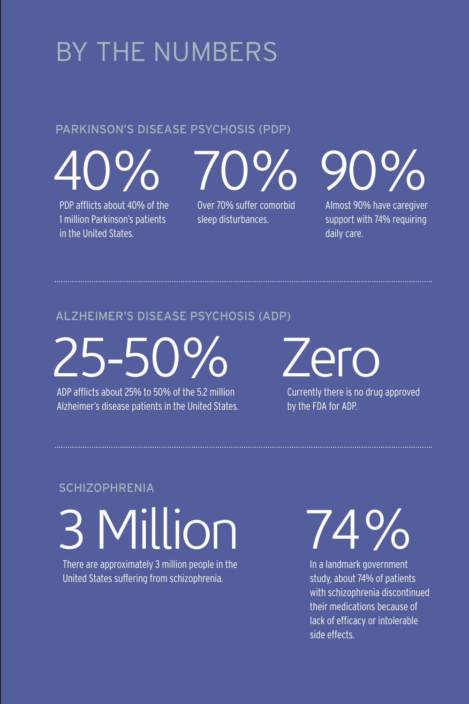# BY THE NUMBERS

#### PARKINSON'S DISEASE PSYCHOSIS (PDP)

40% PDP afflicts about 40% of the 1 million Parkinson's patients

in the United States. Over 70% suffer comorbid sleep disturbances.

70% 90%

Almost 90% have caregiver support with 74% requiring daily care.

#### ALZHEIMER'S DISEASE PSYCHOSIS (ADP)

25-50% Zero

ADP afflicts about 25% to 50% of the 5.2 million Alzheimer's disease patients in the United States.

Currently there is no drug approved by the FDA for ADP.

#### **SCHIZOPHRENIA**

3 Million

There are approximately 3 million people in the United States suffering from schizophrenia.

74%

In a landmark government study, about 74% of patients with schizophrenia discontinued their medications because of lack of efficacy or intolerable side effects.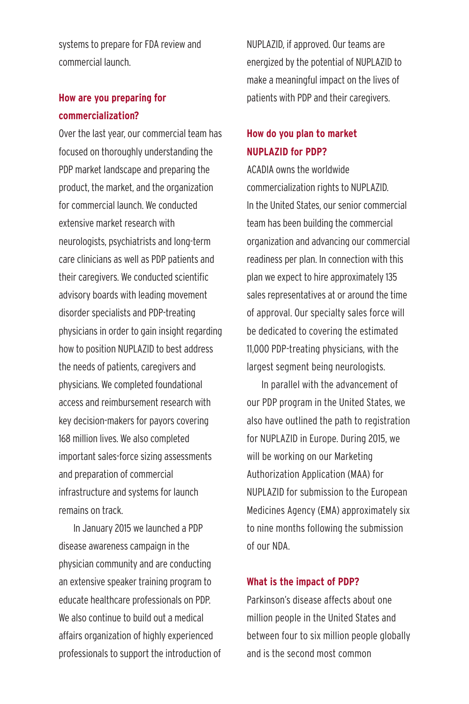systems to prepare for FDA review and commercial launch.

#### **How are you preparing for commercialization?**

Over the last year, our commercial team has focused on thoroughly understanding the PDP market landscape and preparing the product, the market, and the organization for commercial launch. We conducted extensive market research with neurologists, psychiatrists and long-term care clinicians as well as PDP patients and their caregivers. We conducted scientific advisory boards with leading movement disorder specialists and PDP-treating physicians in order to gain insight regarding how to position NUPLAZID to best address the needs of patients, caregivers and physicians. We completed foundational access and reimbursement research with key decision-makers for payors covering 168 million lives. We also completed important sales-force sizing assessments and preparation of commercial infrastructure and systems for launch remains on track.

In January 2015 we launched a PDP disease awareness campaign in the physician community and are conducting an extensive speaker training program to educate healthcare professionals on PDP. We also continue to build out a medical affairs organization of highly experienced professionals to support the introduction of NUPLAZID, if approved. Our teams are energized by the potential of NUPLAZID to make a meaningful impact on the lives of patients with PDP and their caregivers.

#### **How do you plan to market NUPLAZID for PDP?**

ACADIA owns the worldwide commercialization rights to NUPLAZID. In the United States, our senior commercial team has been building the commercial organization and advancing our commercial readiness per plan. In connection with this plan we expect to hire approximately 135 sales representatives at or around the time of approval. Our specialty sales force will be dedicated to covering the estimated 11,000 PDP-treating physicians, with the largest segment being neurologists.

In parallel with the advancement of our PDP program in the United States, we also have outlined the path to registration for NUPLAZID in Europe. During 2015, we will be working on our Marketing Authorization Application (MAA) for NUPLAZID for submission to the European Medicines Agency (EMA) approximately six to nine months following the submission of our NDA.

#### **What is the impact of PDP?**

Parkinson's disease affects about one million people in the United States and between four to six million people globally and is the second most common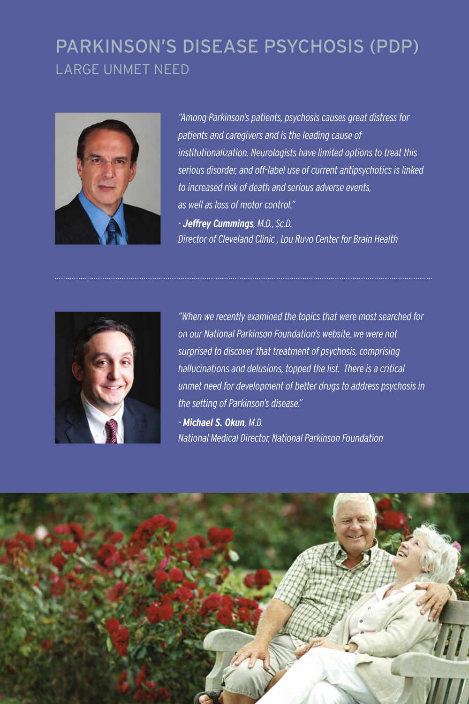### PARKINSON'S DISEASE PSYCHOSIS (PDP) LARGE UNMET NEED



*"Among Parkinson's patients, psychosis causes great distress for patients and caregivers and is the leading cause of institutionalization. Neurologists have limited options to treat this serious disorder, and off-label use of current antipsychotics is linked to increased risk of death and serious adverse events, as well as loss of motor control." - Jeffrey Cummings, M.D., Sc.D. Director of Cleveland Clinic , Lou Ruvo Center for Brain Health*



*"When we recently examined the topics that were most searched for on our National Parkinson Foundation's website, we were not surprised to discover that treatment of psychosis, comprising hallucinations and delusions, topped the list. There is a critical unmet need for development of better drugs to address psychosis in the setting of Parkinson's disease."* 

*- Michael S. Okun, M.D. National Medical Director, National Parkinson Foundation* 

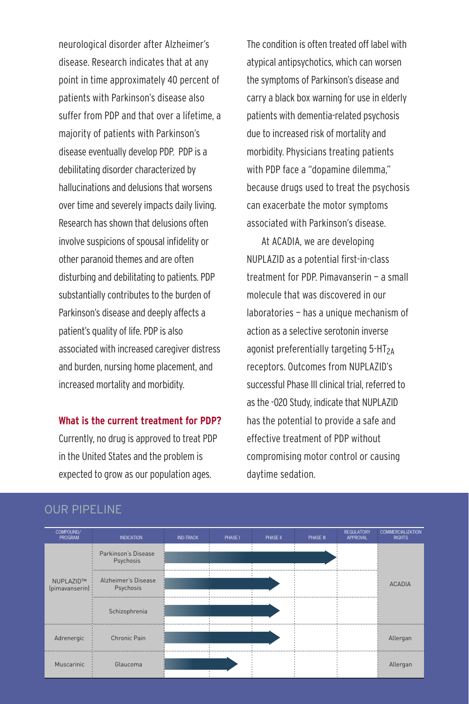neurological disorder after Alzheimer's disease. Research indicates that at any point in time approximately 40 percent of patients with Parkinson's disease also suffer from PDP and that over a lifetime, a majority of patients with Parkinson's disease eventually develop PDP. PDP is a debilitating disorder characterized by hallucinations and delusions that worsens over time and severely impacts daily living. Research has shown that delusions often involve suspicions of spousal infidelity or other paranoid themes and are often disturbing and debilitating to patients. PDP substantially contributes to the burden of Parkinson's disease and deeply affects a patient's quality of life. PDP is also associated with increased caregiver distress and burden, nursing home placement, and increased mortality and morbidity.

#### **What is the current treatment for PDP?**

Currently, no drug is approved to treat PDP in the United States and the problem is expected to grow as our population ages.

The condition is often treated off label with atypical antipsychotics, which can worsen the symptoms of Parkinson's disease and carry a black box warning for use in elderly patients with dementia-related psychosis due to increased risk of mortality and morbidity. Physicians treating patients with PDP face a "dopamine dilemma," because drugs used to treat the psychosis can exacerbate the motor symptoms associated with Parkinson's disease.

At ACADIA, we are developing NUPLAZID as a potential first-in-class treatment for PDP. Pimavanserin — a small molecule that was discovered in our laboratories — has a unique mechanism of action as a selective serotonin inverse agonist preferentially targeting  $5-HT_{2A}$ receptors. Outcomes from NUPLAZID's successful Phase III clinical trial, referred to as the -020 Study, indicate that NUPLAZID has the potential to provide a safe and effective treatment of PDP without compromising motor control or causing daytime sedation.



#### OUR PIPELINE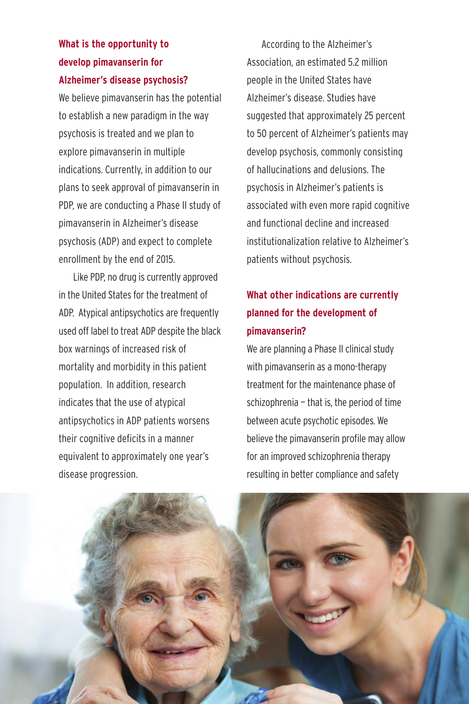#### **What is the opportunity to develop pimavanserin for Alzheimer's disease psychosis?**

We believe pimavanserin has the potential to establish a new paradigm in the way psychosis is treated and we plan to explore pimavanserin in multiple indications. Currently, in addition to our plans to seek approval of pimavanserin in PDP, we are conducting a Phase II study of pimavanserin in Alzheimer's disease psychosis (ADP) and expect to complete enrollment by the end of 2015.

Like PDP, no drug is currently approved in the United States for the treatment of ADP. Atypical antipsychotics are frequently used off label to treat ADP despite the black box warnings of increased risk of mortality and morbidity in this patient population. In addition, research indicates that the use of atypical antipsychotics in ADP patients worsens their cognitive deficits in a manner equivalent to approximately one year's disease progression.

According to the Alzheimer's Association, an estimated 5.2 million people in the United States have Alzheimer's disease. Studies have suggested that approximately 25 percent to 50 percent of Alzheimer's patients may develop psychosis, commonly consisting of hallucinations and delusions. The psychosis in Alzheimer's patients is associated with even more rapid cognitive and functional decline and increased institutionalization relative to Alzheimer's patients without psychosis.

#### **What other indications are currently planned for the development of pimavanserin?**

We are planning a Phase II clinical study with pimavanserin as a mono-therapy treatment for the maintenance phase of schizophrenia — that is, the period of time between acute psychotic episodes. We believe the pimavanserin profile may allow for an improved schizophrenia therapy resulting in better compliance and safety

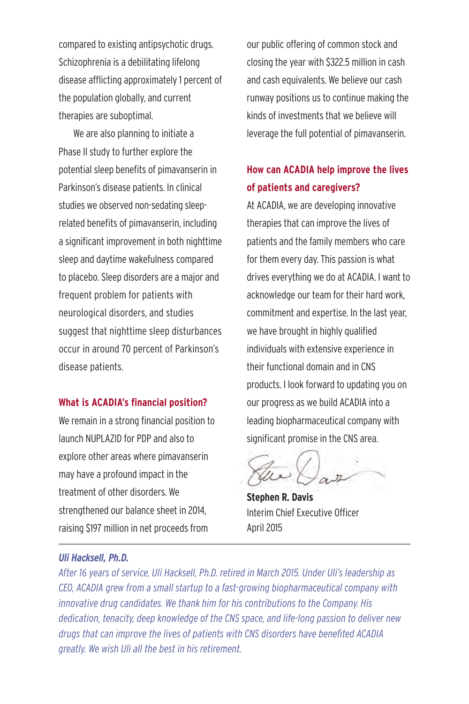compared to existing antipsychotic drugs. Schizophrenia is a debilitating lifelong disease afflicting approximately 1 percent of the population globally, and current therapies are suboptimal.

We are also planning to initiate a Phase II study to further explore the potential sleep benefits of pimavanserin in Parkinson's disease patients. In clinical studies we observed non-sedating sleeprelated benefits of pimavanserin, including a significant improvement in both nighttime sleep and daytime wakefulness compared to placebo. Sleep disorders are a major and frequent problem for patients with neurological disorders, and studies suggest that nighttime sleep disturbances occur in around 70 percent of Parkinson's disease patients.

#### **What is ACADIA's financial position?**

We remain in a strong financial position to launch NUPLAZID for PDP and also to explore other areas where pimavanserin may have a profound impact in the treatment of other disorders. We strengthened our balance sheet in 2014, raising \$197 million in net proceeds from

our public offering of common stock and closing the year with \$322.5 million in cash and cash equivalents. We believe our cash runway positions us to continue making the kinds of investments that we believe will leverage the full potential of pimavanserin.

#### **How can ACADIA help improve the lives of patients and caregivers?**

At ACADIA, we are developing innovative therapies that can improve the lives of patients and the family members who care for them every day. This passion is what drives everything we do at ACADIA. I want to acknowledge our team for their hard work, commitment and expertise. In the last year, we have brought in highly qualified individuals with extensive experience in their functional domain and in CNS products. I look forward to updating you on our progress as we build ACADIA into a leading biopharmaceutical company with significant promise in the CNS area.

**Stephen R. Davis** Interim Chief Executive Officer April 2015

#### *Uli Hacksell, Ph.D.*

*After 16 years of service, Uli Hacksell, Ph.D. retired in March 2015. Under Uli's leadership as CEO, ACADIA grew from a small startup to a fast-growing biopharmaceutical company with innovative drug candidates. We thank him for his contributions to the Company. His dedication, tenacity, deep knowledge of the CNS space, and life-long passion to deliver new drugs that can improve the lives of patients with CNS disorders have benefited ACADIA greatly. We wish Uli all the best in his retirement.*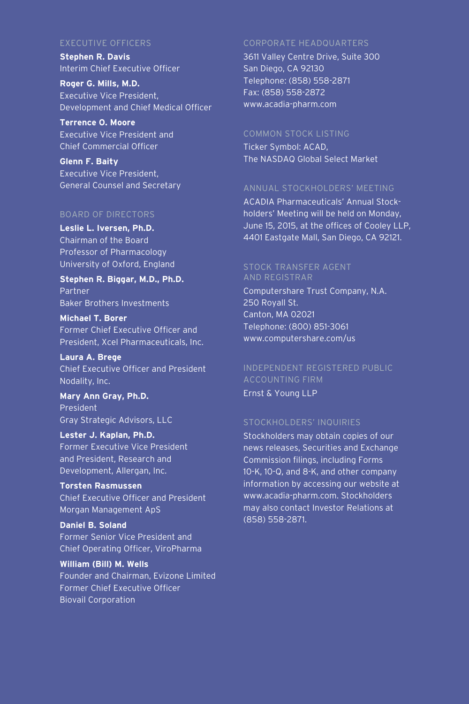#### EXECUTIVE OFFICERS

**Stephen R. Davis** Interim Chief Executive Officer

**Roger G. Mills, M.D.**  Executive Vice President, Development and Chief Medical Officer

**Terrence O. Moore** Executive Vice President and Chief Commercial Officer

**Glenn F. Baity** Executive Vice President, General Counsel and Secretary

#### BOARD OF DIRECTORS

**Leslie L. Iversen, Ph.D.**  Chairman of the Board Professor of Pharmacology University of Oxford, England

**Stephen R. Biggar, M.D., Ph.D.** Partner Baker Brothers Investments

**Michael T. Borer**  Former Chief Executive Officer and President, Xcel Pharmaceuticals, Inc.

**Laura A. Brege** Chief Executive Officer and President Nodality, Inc.

**Mary Ann Gray, Ph.D.**  President Gray Strategic Advisors, LLC

**Lester J. Kaplan, Ph.D.**  Former Executive Vice President and President, Research and Development, Allergan, Inc.

**Torsten Rasmussen**  Chief Executive Officer and President Morgan Management ApS

**Daniel B. Soland** Former Senior Vice President and Chief Operating Officer, ViroPharma

**William (Bill) M. Wells** Founder and Chairman, Evizone Limited Former Chief Executive Officer Biovail Corporation

#### CORPORATE HEADQUARTERS

3611 Valley Centre Drive, Suite 300 San Diego, CA 92130 Telephone: (858) 558-2871 Fax: (858) 558-2872 www.acadia-pharm.com

#### COMMON STOCK LISTING

Ticker Symbol: ACAD, The NASDAQ Global Select Market

#### ANNUAL STOCKHOLDERS' MEETING

ACADIA Pharmaceuticals' Annual Stockholders' Meeting will be held on Monday, June 15, 2015, at the offices of Cooley LLP, 4401 Eastgate Mall, San Diego, CA 92121.

#### STOCK TRANSFER AGENT AND REGISTRAR

Computershare Trust Company, N.A. 250 Royall St. Canton, MA 02021 Telephone: (800) 851-3061 www.computershare.com/us

#### INDEPENDENT REGISTERED PUBLIC ACCOUNTING FIRM

Ernst & Young LLP

#### STOCKHOLDERS' INQUIRIES

Stockholders may obtain copies of our news releases, Securities and Exchange Commission filings, including Forms 10-K, 10-Q, and 8-K, and other company information by accessing our website at www.acadia-pharm.com. Stockholders may also contact Investor Relations at (858) 558-2871.